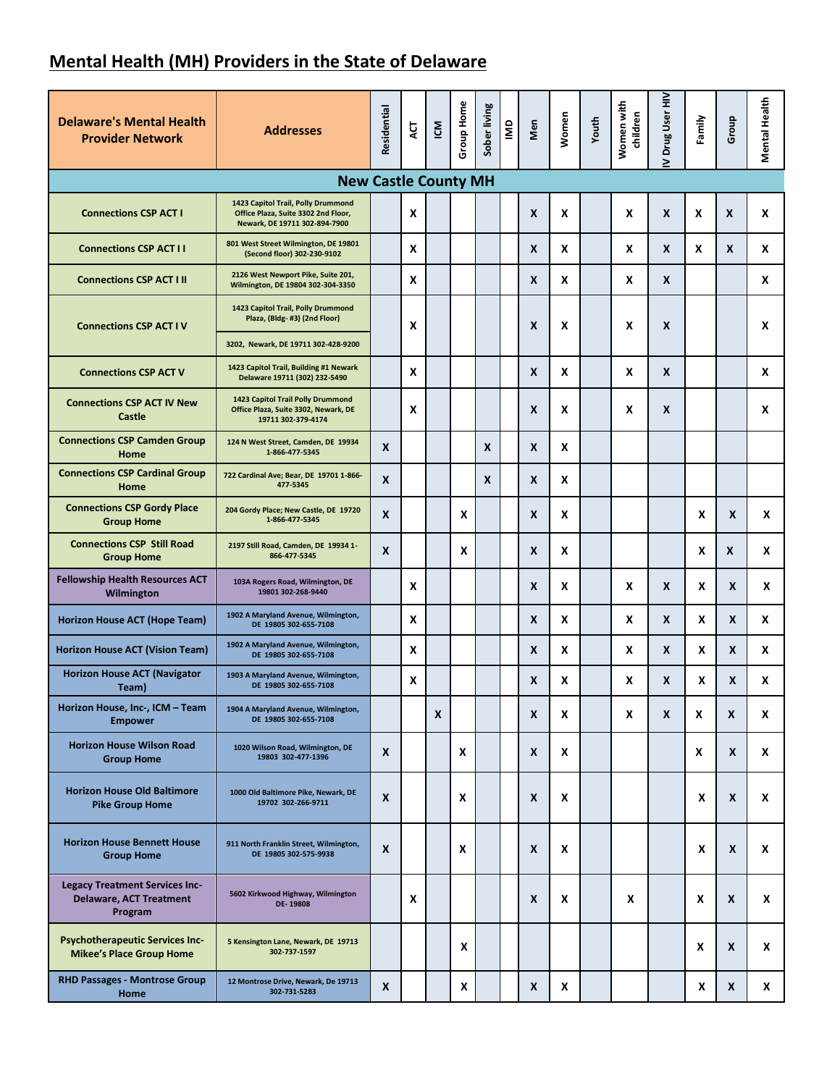## **Mental Health (MH) Providers in the State of Delaware**

| <b>Delaware's Mental Health</b><br><b>Provider Network</b>                         | <b>Addresses</b>                                                                                           | Residential      | ACT | ICM | Group Home | Sober living | $\overline{\mathbf{S}}$ | Men | Women | Youth | Women with<br>children | Drug User HIV<br>> | Family | Group | <b>Mental Health</b> |
|------------------------------------------------------------------------------------|------------------------------------------------------------------------------------------------------------|------------------|-----|-----|------------|--------------|-------------------------|-----|-------|-------|------------------------|--------------------|--------|-------|----------------------|
|                                                                                    | <b>New Castle County MH</b>                                                                                |                  |     |     |            |              |                         |     |       |       |                        |                    |        |       |                      |
| <b>Connections CSP ACT I</b>                                                       | 1423 Capitol Trail, Polly Drummond<br>Office Plaza, Suite 3302 2nd Floor,<br>Newark, DE 19711 302-894-7900 |                  | X   |     |            |              |                         | X   | X     |       | X                      | $\boldsymbol{x}$   | X      | X     | X                    |
| <b>Connections CSP ACT I I</b>                                                     | 801 West Street Wilmington, DE 19801<br>(Second floor) 302-230-9102                                        |                  | X   |     |            |              |                         | X   | X     |       | X                      | X                  | X      | X     | x                    |
| <b>Connections CSP ACT I II</b>                                                    | 2126 West Newport Pike, Suite 201,<br>Wilmington, DE 19804 302-304-3350                                    |                  | X   |     |            |              |                         | X   | X     |       | X                      | X                  |        |       | X                    |
| <b>Connections CSP ACT IV</b>                                                      | 1423 Capitol Trail, Polly Drummond<br>Plaza, (Bldg-#3) (2nd Floor)                                         |                  | X   |     |            |              |                         | X   | X     |       | X                      | X                  |        |       | X                    |
|                                                                                    | 3202, Newark, DE 19711 302-428-9200                                                                        |                  |     |     |            |              |                         |     |       |       |                        |                    |        |       |                      |
| <b>Connections CSP ACT V</b>                                                       | 1423 Capitol Trail, Building #1 Newark<br>Delaware 19711 (302) 232-5490                                    |                  | X   |     |            |              |                         | X   | X     |       | X                      | X                  |        |       | X                    |
| <b>Connections CSP ACT IV New</b><br>Castle                                        | 1423 Capitol Trail Polly Drummond<br>Office Plaza, Suite 3302, Newark, DE<br>19711 302-379-4174            |                  | X   |     |            |              |                         | X   | X     |       | X                      | X                  |        |       | X                    |
| <b>Connections CSP Camden Group</b><br>Home                                        | 124 N West Street, Camden, DE 19934<br>1-866-477-5345                                                      | X                |     |     |            | X            |                         | X   | X     |       |                        |                    |        |       |                      |
| <b>Connections CSP Cardinal Group</b><br>Home                                      | 722 Cardinal Ave; Bear, DE 19701 1-866-<br>477-5345                                                        | X                |     |     |            | X            |                         | X   | X     |       |                        |                    |        |       |                      |
| <b>Connections CSP Gordy Place</b><br><b>Group Home</b>                            | 204 Gordy Place; New Castle, DE 19720<br>1-866-477-5345                                                    | X                |     |     | X          |              |                         | X   | X     |       |                        |                    | X      | X     | X                    |
| <b>Connections CSP Still Road</b><br><b>Group Home</b>                             | 2197 Still Road, Camden, DE 19934 1-<br>866-477-5345                                                       | X                |     |     | X          |              |                         | X   | X     |       |                        |                    | X      | X     | X                    |
| <b>Fellowship Health Resources ACT</b><br>Wilmington                               | 103A Rogers Road, Wilmington, DE<br>19801 302-268-9440                                                     |                  | X   |     |            |              |                         | X   | X     |       | X                      | X                  | X      | X     | X                    |
| Horizon House ACT (Hope Team)                                                      | 1902 A Maryland Avenue, Wilmington,<br>DE 19805 302-655-7108                                               |                  | X   |     |            |              |                         | X   | X     |       | X                      | X                  | X      | X     | X                    |
| Horizon House ACT (Vision Team)                                                    | 1902 A Maryland Avenue, Wilmington,<br>DE 19805 302-655-7108                                               |                  | X   |     |            |              |                         | X   | X     |       | X                      | X                  | X      | X     | X                    |
| <b>Horizon House ACT (Navigator</b><br>Team)                                       | 1903 A Maryland Avenue, Wilmington,<br>DE 19805 302-655-7108                                               |                  | X   |     |            |              |                         | X   | X     |       | x                      | X                  | X      | X     | X                    |
| Horizon House, Inc-, ICM - Team<br><b>Empower</b>                                  | 1904 A Maryland Avenue, Wilmington,<br>DE 19805 302-655-7108                                               |                  |     | X   |            |              |                         | X   | X     |       | X                      | X                  | X      | X     | x                    |
| <b>Horizon House Wilson Road</b><br><b>Group Home</b>                              | 1020 Wilson Road, Wilmington, DE<br>19803 302-477-1396                                                     | X                |     |     | X          |              |                         | X   | X     |       |                        |                    | X      | X     | X                    |
| <b>Horizon House Old Baltimore</b><br><b>Pike Group Home</b>                       | 1000 Old Baltimore Pike, Newark, DE<br>19702 302-266-9711                                                  | $\boldsymbol{x}$ |     |     | X          |              |                         | X   | X     |       |                        |                    | X      | X     | X                    |
| <b>Horizon House Bennett House</b><br><b>Group Home</b>                            | 911 North Franklin Street, Wilmington,<br>DE 19805 302-575-9938                                            | $\boldsymbol{x}$ |     |     | X          |              |                         | X   | X     |       |                        |                    | x      | X     | X                    |
| <b>Legacy Treatment Services Inc-</b><br><b>Delaware, ACT Treatment</b><br>Program | 5602 Kirkwood Highway, Wilmington<br>DE-19808                                                              |                  | X   |     |            |              |                         | X   | X     |       | X                      |                    | X      | X     | X                    |
| <b>Psychotherapeutic Services Inc-</b><br><b>Mikee's Place Group Home</b>          | 5 Kensington Lane, Newark, DE 19713<br>302-737-1597                                                        |                  |     |     | X          |              |                         |     |       |       |                        |                    | X      | X     | X                    |
| <b>RHD Passages - Montrose Group</b><br>Home                                       | 12 Montrose Drive, Newark, De 19713<br>302-731-5283                                                        | $\boldsymbol{x}$ |     |     | X          |              |                         | X   | X     |       |                        |                    | X      | X     | x                    |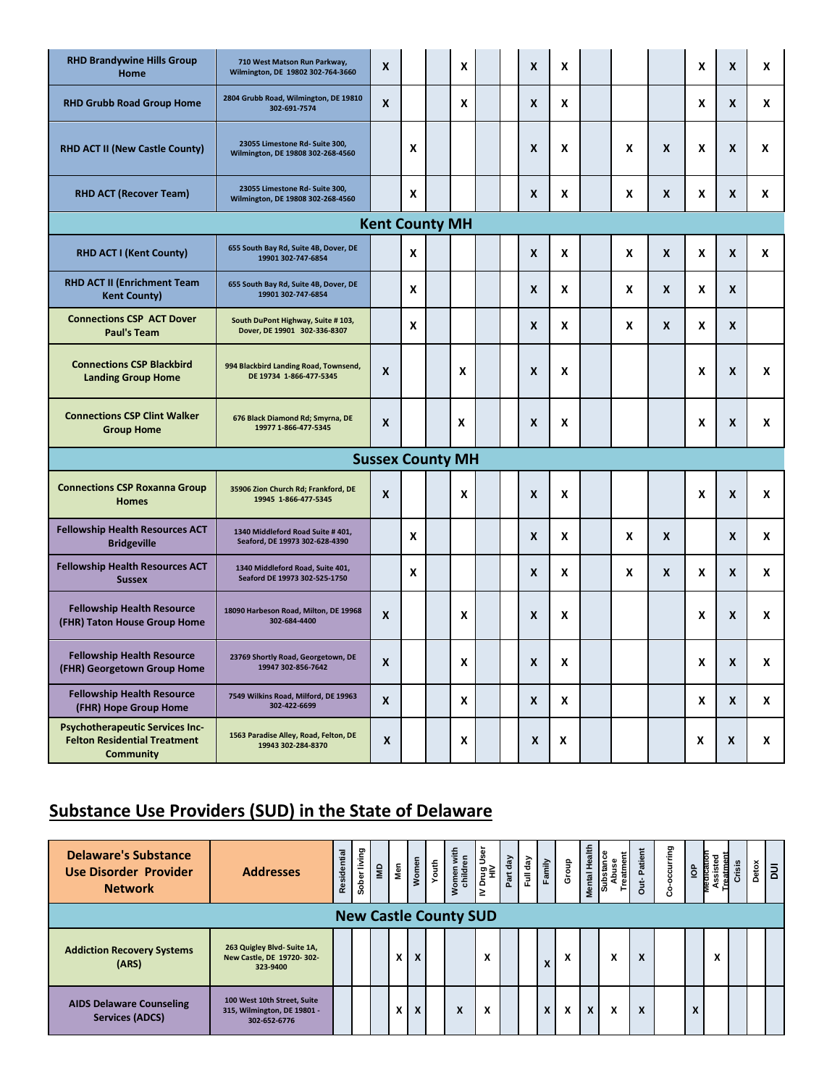| <b>RHD Brandywine Hills Group</b><br>Home                                                         | 710 West Matson Run Parkway,<br>Wilmington, DE 19802 302-764-3660   | X                       |   | X |  | X | X |   |   | X | $\boldsymbol{x}$ | X |
|---------------------------------------------------------------------------------------------------|---------------------------------------------------------------------|-------------------------|---|---|--|---|---|---|---|---|------------------|---|
| <b>RHD Grubb Road Group Home</b>                                                                  | 2804 Grubb Road, Wilmington, DE 19810<br>302-691-7574               | X                       |   | X |  | X | X |   |   | X | $\boldsymbol{x}$ | x |
| <b>RHD ACT II (New Castle County)</b>                                                             | 23055 Limestone Rd- Suite 300,<br>Wilmington, DE 19808 302-268-4560 |                         | X |   |  | X | X | X | X | X | $\boldsymbol{x}$ | x |
| <b>RHD ACT (Recover Team)</b>                                                                     | 23055 Limestone Rd- Suite 300,<br>Wilmington, DE 19808 302-268-4560 |                         | X |   |  | X | X | X | X | X | X                | X |
|                                                                                                   |                                                                     | <b>Kent County MH</b>   |   |   |  |   |   |   |   |   |                  |   |
| <b>RHD ACT I (Kent County)</b>                                                                    | 655 South Bay Rd, Suite 4B, Dover, DE<br>19901 302-747-6854         |                         | X |   |  | X | X | X | X | X | $\boldsymbol{x}$ | X |
| RHD ACT II (Enrichment Team<br><b>Kent County)</b>                                                | 655 South Bay Rd, Suite 4B, Dover, DE<br>19901 302-747-6854         |                         | X |   |  | X | X | X | X | X | $\boldsymbol{x}$ |   |
| <b>Connections CSP ACT Dover</b><br><b>Paul's Team</b>                                            | South DuPont Highway, Suite # 103,<br>Dover, DE 19901 302-336-8307  |                         | X |   |  | X | X | X | X | X | $\boldsymbol{x}$ |   |
| <b>Connections CSP Blackbird</b><br><b>Landing Group Home</b>                                     | 994 Blackbird Landing Road, Townsend,<br>DE 19734 1-866-477-5345    | X                       |   | X |  | X | X |   |   | X | $\boldsymbol{x}$ | X |
| <b>Connections CSP Clint Walker</b><br><b>Group Home</b>                                          | 676 Black Diamond Rd; Smyrna, DE<br>19977 1-866-477-5345            | X                       |   | X |  | X | X |   |   | X | X                | X |
|                                                                                                   |                                                                     | <b>Sussex County MH</b> |   |   |  |   |   |   |   |   |                  |   |
| <b>Connections CSP Roxanna Group</b><br><b>Homes</b>                                              | 35906 Zion Church Rd; Frankford, DE<br>19945 1-866-477-5345         | X                       |   | X |  | X | X |   |   | X | $\boldsymbol{x}$ | X |
| <b>Fellowship Health Resources ACT</b><br><b>Bridgeville</b>                                      | 1340 Middleford Road Suite #401,<br>Seaford, DE 19973 302-628-4390  |                         | X |   |  | X | X | X | X |   | $\boldsymbol{x}$ | X |
| <b>Fellowship Health Resources ACT</b><br><b>Sussex</b>                                           | 1340 Middleford Road, Suite 401,<br>Seaford DE 19973 302-525-1750   |                         | X |   |  | X | X | X | X | X | $\boldsymbol{x}$ | X |
| <b>Fellowship Health Resource</b><br>(FHR) Taton House Group Home                                 | 18090 Harbeson Road, Milton, DE 19968<br>302-684-4400               | X                       |   | X |  | X | X |   |   | X | $\boldsymbol{x}$ | X |
| <b>Fellowship Health Resource</b><br>(FHR) Georgetown Group Home                                  | 23769 Shortly Road, Georgetown, DE<br>19947 302-856-7642            | X                       |   | X |  | X | X |   |   | X | X                | X |
| <b>Fellowship Health Resource</b><br>(FHR) Hope Group Home                                        | 7549 Wilkins Road, Milford, DE 19963<br>302-422-6699                | X                       |   | X |  | X | X |   |   | X | X                | x |
| <b>Psychotherapeutic Services Inc-</b><br><b>Felton Residential Treatment</b><br><b>Community</b> | 1563 Paradise Alley, Road, Felton, DE<br>19943 302-284-8370         | X                       |   | X |  | X | X |   |   | X | X                | X |

## **Substance Use Providers (SUD) in the State of Delaware**

| <b>Delaware's Substance</b><br><b>Use Disorder Provider</b><br><b>Network</b> | <b>Addresses</b>                                                           | Residential | Sober living | $\mathbf{a}$ | Nen | Women                     | Youth | Women with<br>children       | Drug User<br>HIV<br>∣≥ | $\sqrt{ab}$<br>Part | Ğ<br>Ē | Family | Group                          | Mental Health | Substance<br>Treatment<br>Abuse | Patient<br>$\ddot{a}$ | occurring<br>۰<br>Ō | $\frac{a}{2}$ | viecncatio<br>g<br>ة<br>ة | Crisis | Detox | $\overline{a}$ |
|-------------------------------------------------------------------------------|----------------------------------------------------------------------------|-------------|--------------|--------------|-----|---------------------------|-------|------------------------------|------------------------|---------------------|--------|--------|--------------------------------|---------------|---------------------------------|-----------------------|---------------------|---------------|---------------------------|--------|-------|----------------|
|                                                                               |                                                                            |             |              |              |     |                           |       | <b>New Castle County SUD</b> |                        |                     |        |        |                                |               |                                 |                       |                     |               |                           |        |       |                |
| <b>Addiction Recovery Systems</b><br>(ARS)                                    | 263 Quigley Blvd- Suite 1A,<br>New Castle, DE 19720-302-<br>323-9400       |             |              |              | x   | $\boldsymbol{\mathsf{x}}$ |       |                              | X                      |                     |        | X      | v<br>$\boldsymbol{\mathsf{A}}$ |               | x                               | X                     |                     |               |                           |        |       |                |
| <b>AIDS Delaware Counseling</b><br><b>Services (ADCS)</b>                     | 100 West 10th Street, Suite<br>315, Wilmington, DE 19801 -<br>302-652-6776 |             |              |              | X   | $\boldsymbol{\mathsf{x}}$ |       | X                            | X                      |                     |        | X      | X                              | $\mathbf{x}$  | x                               | X                     |                     | X             |                           |        |       |                |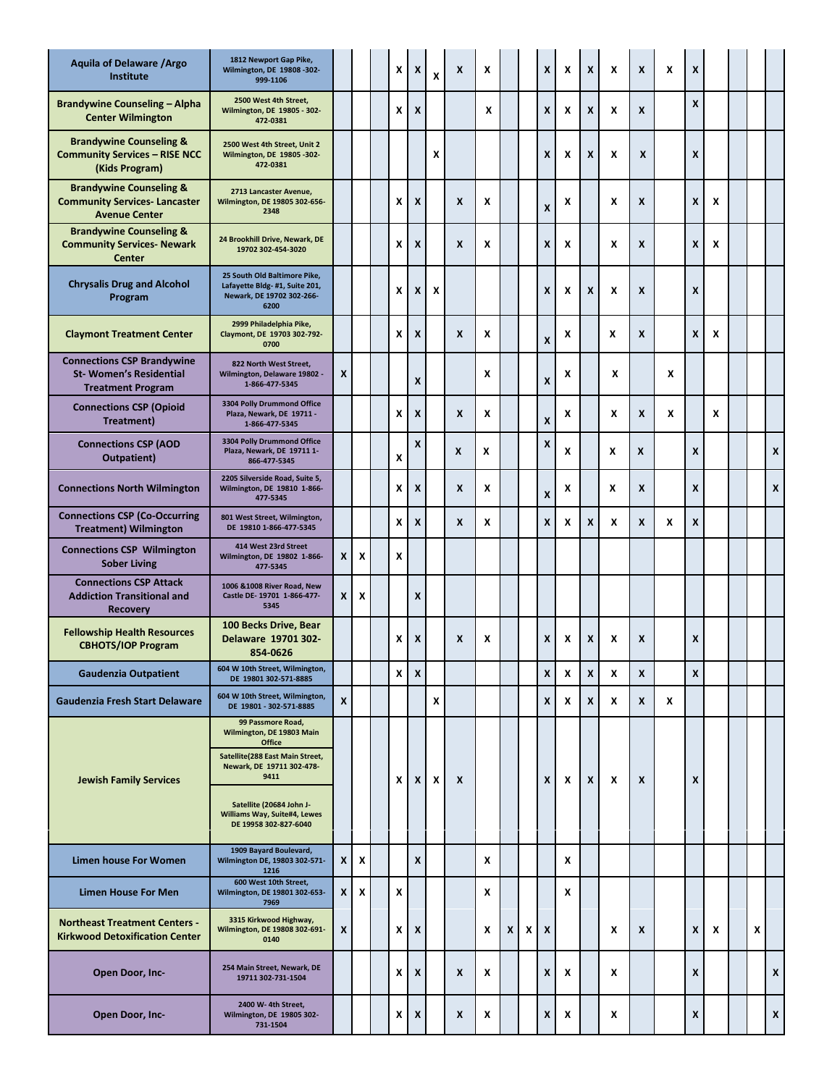| <b>Aquila of Delaware / Argo</b><br>Institute                                                     | 1812 Newport Gap Pike,<br>Wilmington, DE 19808-302-<br>999-1106                                                                  |   |   | X | X | X | X | X |   |   | X                | x | X | X | X                | X | X |   |   |   |
|---------------------------------------------------------------------------------------------------|----------------------------------------------------------------------------------------------------------------------------------|---|---|---|---|---|---|---|---|---|------------------|---|---|---|------------------|---|---|---|---|---|
| <b>Brandywine Counseling - Alpha</b><br><b>Center Wilmington</b>                                  | 2500 West 4th Street,<br>Wilmington, DE 19805 - 302-<br>472-0381                                                                 |   |   | X | X |   |   | x |   |   | X                | X | X | X | X                |   | X |   |   |   |
| <b>Brandywine Counseling &amp;</b><br><b>Community Services - RISE NCC</b><br>(Kids Program)      | 2500 West 4th Street, Unit 2<br>Wilmington, DE 19805-302-<br>472-0381                                                            |   |   |   |   | X |   |   |   |   | X                | x | X | X | $\boldsymbol{x}$ |   | X |   |   |   |
| <b>Brandywine Counseling &amp;</b><br><b>Community Services-Lancaster</b><br><b>Avenue Center</b> | 2713 Lancaster Avenue,<br>Wilmington, DE 19805 302-656-<br>2348                                                                  |   |   | X | X |   | X | X |   |   | X                | x |   | X | X                |   | X | x |   |   |
| <b>Brandywine Counseling &amp;</b><br><b>Community Services- Newark</b><br><b>Center</b>          | 24 Brookhill Drive, Newark, DE<br>19702 302-454-3020                                                                             |   |   | X | X |   | X | X |   |   | X                | X |   | X | X                |   | X | x |   |   |
| <b>Chrysalis Drug and Alcohol</b><br>Program                                                      | 25 South Old Baltimore Pike,<br>Lafayette Bldg-#1, Suite 201,<br>Newark, DE 19702 302-266-<br>6200                               |   |   | X | X | X |   |   |   |   | X                | x | X | X | X                |   | X |   |   |   |
| <b>Claymont Treatment Center</b>                                                                  | 2999 Philadelphia Pike,<br>Claymont, DE 19703 302-792-<br>0700                                                                   |   |   | X | X |   | X | X |   |   | X                | x |   | x | X                |   | X | x |   |   |
| <b>Connections CSP Brandywine</b><br><b>St-Women's Residential</b><br><b>Treatment Program</b>    | 822 North West Street.<br>Wilmington, Delaware 19802 -<br>1-866-477-5345                                                         | X |   |   | X |   |   | X |   |   | X                | x |   | X |                  | X |   |   |   |   |
| <b>Connections CSP (Opioid</b><br>Treatment)                                                      | 3304 Polly Drummond Office<br>Plaza, Newark, DE 19711 -<br>1-866-477-5345                                                        |   |   | X | X |   | X | X |   |   | X                | x |   | X | X                | X |   | x |   |   |
| <b>Connections CSP (AOD</b><br>Outpatient)                                                        | 3304 Polly Drummond Office<br>Plaza, Newark, DE 197111-<br>866-477-5345                                                          |   |   | X | X |   | X | X |   |   | X                | x |   | x | X                |   | X |   |   | X |
| <b>Connections North Wilmington</b>                                                               | 2205 Silverside Road, Suite 5,<br>Wilmington, DE 19810 1-866-<br>477-5345                                                        |   |   | X | X |   | X | X |   |   | X                | x |   | x | X                |   | X |   |   | X |
| <b>Connections CSP (Co-Occurring</b><br><b>Treatment</b> ) Wilmington                             | 801 West Street, Wilmington,<br>DE 19810 1-866-477-5345                                                                          |   |   | X | X |   | X | X |   |   | X                | x | X | X | X                | X | X |   |   |   |
| <b>Connections CSP Wilmington</b><br><b>Sober Living</b>                                          | 414 West 23rd Street<br>Wilmington, DE 19802 1-866-<br>477-5345                                                                  | X | X | X |   |   |   |   |   |   |                  |   |   |   |                  |   |   |   |   |   |
| <b>Connections CSP Attack</b><br><b>Addiction Transitional and</b><br><b>Recovery</b>             | 1006 & 1008 River Road, New<br>Castle DE-19701 1-866-477-<br>5345                                                                | X | X |   | X |   |   |   |   |   |                  |   |   |   |                  |   |   |   |   |   |
| <b>Fellowship Health Resources</b><br><b>CBHOTS/IOP Program</b>                                   | 100 Becks Drive, Bear<br>Delaware 19701 302-<br>854-0626                                                                         |   |   | x | X |   | X | X |   |   | X                | x | X | X | X                |   | x |   |   |   |
| <b>Gaudenzia Outpatient</b>                                                                       | 604 W 10th Street, Wilmington,<br>DE 19801 302-571-8885                                                                          |   |   | x | X |   |   |   |   |   | X                | X | X | x | X                |   | X |   |   |   |
| Gaudenzia Fresh Start Delaware                                                                    | 604 W 10th Street, Wilmington,<br>DE 19801 - 302-571-8885                                                                        | X |   |   |   | X |   |   |   |   | X                | X | X | x | X                | X |   |   |   |   |
| <b>Jewish Family Services</b>                                                                     | 99 Passmore Road,<br>Wilmington, DE 19803 Main<br>Office<br>Satellite(288 East Main Street,<br>Newark, DE 19711 302-478-<br>9411 |   |   | x | X | X | X |   |   |   | X                | X | X | X | X                |   | X |   |   |   |
|                                                                                                   | Satellite (20684 John J-<br>Williams Way, Suite#4, Lewes<br>DE 19958 302-827-6040                                                |   |   |   |   |   |   |   |   |   |                  |   |   |   |                  |   |   |   |   |   |
| <b>Limen house For Women</b>                                                                      | 1909 Bayard Boulevard,<br>Wilmington DE, 19803 302-571-<br>1216                                                                  | X | X |   | X |   |   | x |   |   |                  | X |   |   |                  |   |   |   |   |   |
| <b>Limen House For Men</b>                                                                        | 600 West 10th Street,<br>Wilmington, DE 19801 302-653-<br>7969                                                                   | X | X | x |   |   |   | X |   |   |                  | X |   |   |                  |   |   |   |   |   |
| <b>Northeast Treatment Centers -</b><br><b>Kirkwood Detoxification Center</b>                     | 3315 Kirkwood Highway,<br>Wilmington, DE 19808 302-691-<br>0140                                                                  | X |   | x | X |   |   | X | X | X | $\boldsymbol{x}$ |   |   | X | X                |   | X | x | x |   |
| Open Door, Inc-                                                                                   | 254 Main Street, Newark, DE<br>19711 302-731-1504                                                                                |   |   | X | X |   | X | X |   |   | x                | X |   | X |                  |   | X |   |   | X |
| Open Door, Inc-                                                                                   | 2400 W-4th Street,<br>Wilmington, DE 19805 302-<br>731-1504                                                                      |   |   | X | X |   | X | x |   |   | x                | x |   | x |                  |   | X |   |   | X |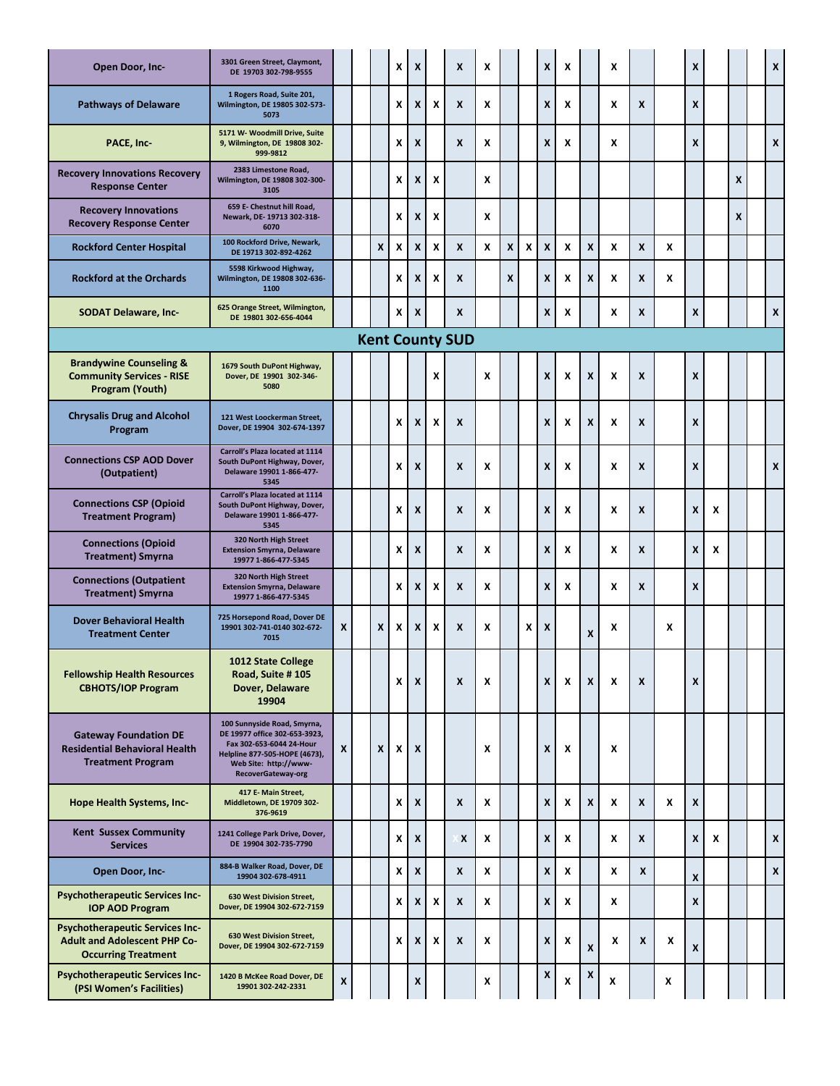| Open Door, Inc-                                                                                             | 3301 Green Street, Claymont,<br>DE 19703 302-798-9555                                                                                                                    |   |   | x | X |   | X                      | X |   |   | X                         | x |   | X |   |   | X                         |   |   | $\mathbf x$ |
|-------------------------------------------------------------------------------------------------------------|--------------------------------------------------------------------------------------------------------------------------------------------------------------------------|---|---|---|---|---|------------------------|---|---|---|---------------------------|---|---|---|---|---|---------------------------|---|---|-------------|
| <b>Pathways of Delaware</b>                                                                                 | 1 Rogers Road, Suite 201,<br>Wilmington, DE 19805 302-573-<br>5073                                                                                                       |   |   | X | X | X | X                      | X |   |   | X                         | X |   | X | X |   | X                         |   |   |             |
| PACE, Inc-                                                                                                  | 5171 W- Woodmill Drive, Suite<br>9, Wilmington, DE 19808 302-<br>999-9812                                                                                                |   |   | X | X |   | X                      | X |   |   | X                         | x |   | X |   |   | $\boldsymbol{\mathsf{x}}$ |   |   | X           |
| <b>Recovery Innovations Recovery</b><br><b>Response Center</b>                                              | 2383 Limestone Road,<br>Wilmington, DE 19808 302-300-<br>3105                                                                                                            |   |   | X | X | X |                        | X |   |   |                           |   |   |   |   |   |                           |   | X |             |
| <b>Recovery Innovations</b><br><b>Recovery Response Center</b>                                              | 659 E- Chestnut hill Road.<br>Newark, DE-19713 302-318-<br>6070                                                                                                          |   |   | X | X | X |                        | X |   |   |                           |   |   |   |   |   |                           |   | X |             |
| <b>Rockford Center Hospital</b>                                                                             | 100 Rockford Drive, Newark,<br>DE 19713 302-892-4262                                                                                                                     |   | X | X | X | X | X                      | x | X | X | $\boldsymbol{\mathsf{x}}$ | X | X | X | X | X |                           |   |   |             |
| <b>Rockford at the Orchards</b>                                                                             | 5598 Kirkwood Highway,<br>Wilmington, DE 19808 302-636-<br>1100                                                                                                          |   |   | X | X | X | X                      |   | X |   | X                         | X | X | X | X | X |                           |   |   |             |
| <b>SODAT Delaware, Inc-</b>                                                                                 | 625 Orange Street, Wilmington,<br>DE 19801 302-656-4044                                                                                                                  |   |   | x | X |   | X                      |   |   |   | X                         | x |   | X | X |   | X                         |   |   | X           |
|                                                                                                             |                                                                                                                                                                          |   |   |   |   |   | <b>Kent County SUD</b> |   |   |   |                           |   |   |   |   |   |                           |   |   |             |
| <b>Brandywine Counseling &amp;</b><br><b>Community Services - RISE</b><br>Program (Youth)                   | 1679 South DuPont Highway,<br>Dover, DE 19901 302-346-<br>5080                                                                                                           |   |   |   |   | x |                        | X |   |   | X                         | X | X | X | X |   | $\boldsymbol{x}$          |   |   |             |
| <b>Chrysalis Drug and Alcohol</b><br>Program                                                                | 121 West Loockerman Street,<br>Dover, DE 19904 302-674-1397                                                                                                              |   |   | X | X | X | X                      |   |   |   | X                         | x | X | X | X |   | $\boldsymbol{\mathsf{x}}$ |   |   |             |
| <b>Connections CSP AOD Dover</b><br>(Outpatient)                                                            | Carroll's Plaza located at 1114<br>South DuPont Highway, Dover,<br>Delaware 19901 1-866-477-<br>5345                                                                     |   |   | X | X |   | X                      | X |   |   | X                         | X |   | X | X |   | $\boldsymbol{\mathsf{x}}$ |   |   | X           |
| <b>Connections CSP (Opioid</b><br><b>Treatment Program)</b>                                                 | Carroll's Plaza located at 1114<br>South DuPont Highway, Dover,<br>Delaware 19901 1-866-477-<br>5345                                                                     |   |   | X | X |   | X                      | X |   |   | X                         | x |   | X | X |   | $\boldsymbol{\mathsf{x}}$ | x |   |             |
| <b>Connections (Opioid</b><br><b>Treatment) Smyrna</b>                                                      | 320 North High Street<br><b>Extension Smyrna, Delaware</b><br>19977 1-866-477-5345                                                                                       |   |   | X | X |   | X                      | X |   |   | X                         | x |   | X | X |   | $\boldsymbol{\mathsf{x}}$ | x |   |             |
| <b>Connections (Outpatient</b><br><b>Treatment) Smyrna</b>                                                  | 320 North High Street<br><b>Extension Smyrna, Delaware</b><br>19977 1-866-477-5345                                                                                       |   |   | X | X | X | X                      | X |   |   | X                         | x |   | X | X |   | X                         |   |   |             |
| <b>Dover Behavioral Health</b><br><b>Treatment Center</b>                                                   | 725 Horsepond Road, Dover DE<br>19901 302-741-0140 302-672-<br>7015                                                                                                      | X | X | x | X | X | X                      | X |   | x | X                         |   | X | x |   | x |                           |   |   |             |
| <b>Fellowship Health Resources</b><br><b>CBHOTS/IOP Program</b>                                             | 1012 State College<br>Road, Suite #105<br>Dover, Delaware<br>19904                                                                                                       |   |   | X | X |   | X                      | X |   |   | X                         | X | X | X | X |   | $\boldsymbol{x}$          |   |   |             |
| <b>Gateway Foundation DE</b><br><b>Residential Behavioral Health</b><br><b>Treatment Program</b>            | 100 Sunnyside Road, Smyrna,<br>DE 19977 office 302-653-3923,<br>Fax 302-653-6044 24-Hour<br>Helpline 877-505-HOPE (4673),<br>Web Site: http://www-<br>RecoverGateway-org | X | X | x | X |   |                        | X |   |   | X                         | X |   | X |   |   |                           |   |   |             |
| Hope Health Systems, Inc-                                                                                   | 417 E- Main Street,<br>Middletown, DE 19709 302-<br>376-9619                                                                                                             |   |   | X | X |   | X                      | X |   |   | X                         | x | X | x | X | X | X                         |   |   |             |
| <b>Kent Sussex Community</b><br><b>Services</b>                                                             | 1241 College Park Drive, Dover,<br>DE 19904 302-735-7790                                                                                                                 |   |   | x | X |   | X                      | X |   |   | X                         | X |   | X | X |   | X                         | x |   | X           |
| Open Door, Inc-                                                                                             | 884-B Walker Road, Dover, DE<br>19904 302-678-4911                                                                                                                       |   |   | x | X |   | X                      | X |   |   | X                         | X |   | X | X |   | X                         |   |   | X           |
| <b>Psychotherapeutic Services Inc-</b><br><b>IOP AOD Program</b>                                            | 630 West Division Street,<br>Dover, DE 19904 302-672-7159                                                                                                                |   |   | X | X | X | X                      | X |   |   | X                         | X |   | x |   |   | X                         |   |   |             |
| <b>Psychotherapeutic Services Inc-</b><br><b>Adult and Adolescent PHP Co-</b><br><b>Occurring Treatment</b> | 630 West Division Street,<br>Dover, DE 19904 302-672-7159                                                                                                                |   |   | x | X | X | X                      | X |   |   | X                         | X | X | x | X | X | X                         |   |   |             |
| <b>Psychotherapeutic Services Inc-</b><br>(PSI Women's Facilities)                                          | 1420 B McKee Road Dover, DE<br>19901 302-242-2331                                                                                                                        | X |   |   | X |   |                        | X |   |   | X                         | x | Χ | x |   | X |                           |   |   |             |